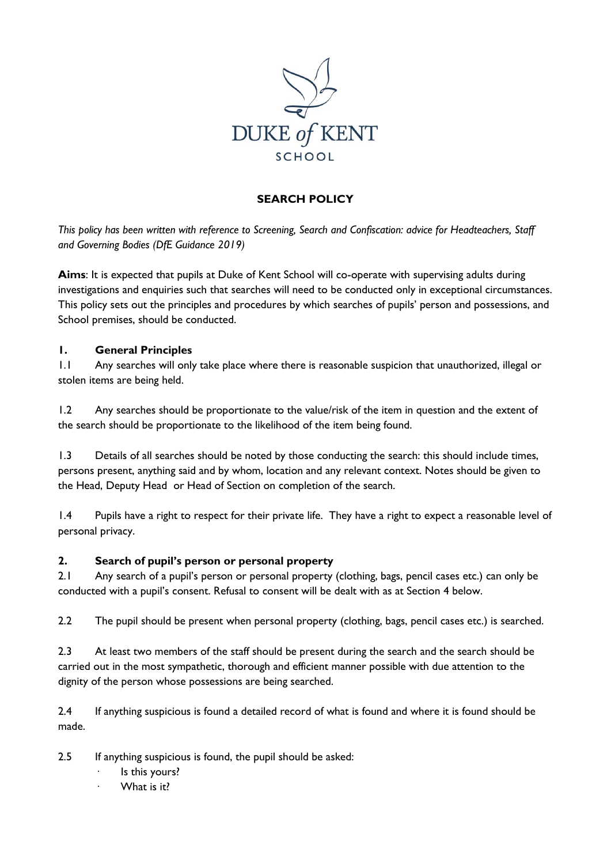

## **SEARCH POLICY**

*This policy has been written with reference to Screening, Search and Confiscation: advice for Headteachers, Staff and Governing Bodies (DfE Guidance 2019)* 

**Aims**: It is expected that pupils at Duke of Kent School will co-operate with supervising adults during investigations and enquiries such that searches will need to be conducted only in exceptional circumstances. This policy sets out the principles and procedures by which searches of pupils' person and possessions, and School premises, should be conducted.

#### **1. General Principles**

1.1 Any searches will only take place where there is reasonable suspicion that unauthorized, illegal or stolen items are being held.

1.2 Any searches should be proportionate to the value/risk of the item in question and the extent of the search should be proportionate to the likelihood of the item being found.

1.3 Details of all searches should be noted by those conducting the search: this should include times, persons present, anything said and by whom, location and any relevant context. Notes should be given to the Head, Deputy Head or Head of Section on completion of the search.

1.4 Pupils have a right to respect for their private life. They have a right to expect a reasonable level of personal privacy.

#### **2. Search of pupil's person or personal property**

2.1 Any search of a pupil's person or personal property (clothing, bags, pencil cases etc.) can only be conducted with a pupil's consent. Refusal to consent will be dealt with as at Section 4 below.

2.2 The pupil should be present when personal property (clothing, bags, pencil cases etc.) is searched.

2.3 At least two members of the staff should be present during the search and the search should be carried out in the most sympathetic, thorough and efficient manner possible with due attention to the dignity of the person whose possessions are being searched.

2.4 If anything suspicious is found a detailed record of what is found and where it is found should be made.

- 2.5 If anything suspicious is found, the pupil should be asked:
	- Is this yours?
	- What is it?